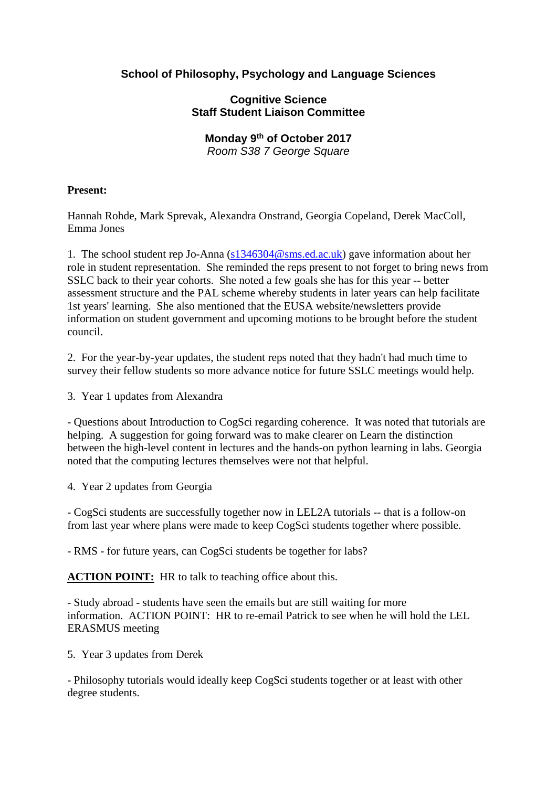# **School of Philosophy, Psychology and Language Sciences**

### **Cognitive Science Staff Student Liaison Committee**

### **Monday 9th of October 2017** *Room S38 7 George Square*

#### **Present:**

Hannah Rohde, Mark Sprevak, Alexandra Onstrand, Georgia Copeland, Derek MacColl, Emma Jones

1. The school student rep Jo-Anna [\(s1346304@sms.ed.ac.uk\)](mailto:s1346304@sms.ed.ac.uk) gave information about her role in student representation. She reminded the reps present to not forget to bring news from SSLC back to their year cohorts. She noted a few goals she has for this year -- better assessment structure and the PAL scheme whereby students in later years can help facilitate 1st years' learning. She also mentioned that the EUSA website/newsletters provide information on student government and upcoming motions to be brought before the student council.

2. For the year-by-year updates, the student reps noted that they hadn't had much time to survey their fellow students so more advance notice for future SSLC meetings would help.

3. Year 1 updates from Alexandra

- Questions about Introduction to CogSci regarding coherence. It was noted that tutorials are helping. A suggestion for going forward was to make clearer on Learn the distinction between the high-level content in lectures and the hands-on python learning in labs. Georgia noted that the computing lectures themselves were not that helpful.

4. Year 2 updates from Georgia

- CogSci students are successfully together now in LEL2A tutorials -- that is a follow-on from last year where plans were made to keep CogSci students together where possible.

- RMS - for future years, can CogSci students be together for labs?

**ACTION POINT:** HR to talk to teaching office about this.

- Study abroad - students have seen the emails but are still waiting for more information. ACTION POINT: HR to re-email Patrick to see when he will hold the LEL ERASMUS meeting

5. Year 3 updates from Derek

- Philosophy tutorials would ideally keep CogSci students together or at least with other degree students.